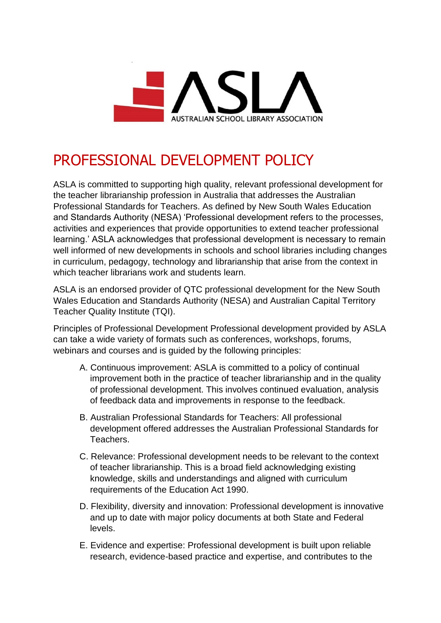

## PROFESSIONAL DEVELOPMENT POLICY

ASLA is committed to supporting high quality, relevant professional development for the teacher librarianship profession in Australia that addresses the Australian Professional Standards for Teachers. As defined by New South Wales Education and Standards Authority (NESA) 'Professional development refers to the processes, activities and experiences that provide opportunities to extend teacher professional learning.' ASLA acknowledges that professional development is necessary to remain well informed of new developments in schools and school libraries including changes in curriculum, pedagogy, technology and librarianship that arise from the context in which teacher librarians work and students learn.

ASLA is an endorsed provider of QTC professional development for the New South Wales Education and Standards Authority (NESA) and Australian Capital Territory Teacher Quality Institute (TQI).

Principles of Professional Development Professional development provided by ASLA can take a wide variety of formats such as conferences, workshops, forums, webinars and courses and is guided by the following principles:

- A. Continuous improvement: ASLA is committed to a policy of continual improvement both in the practice of teacher librarianship and in the quality of professional development. This involves continued evaluation, analysis of feedback data and improvements in response to the feedback.
- B. Australian Professional Standards for Teachers: All professional development offered addresses the Australian Professional Standards for Teachers.
- C. Relevance: Professional development needs to be relevant to the context of teacher librarianship. This is a broad field acknowledging existing knowledge, skills and understandings and aligned with curriculum requirements of the Education Act 1990.
- D. Flexibility, diversity and innovation: Professional development is innovative and up to date with major policy documents at both State and Federal levels.
- E. Evidence and expertise: Professional development is built upon reliable research, evidence-based practice and expertise, and contributes to the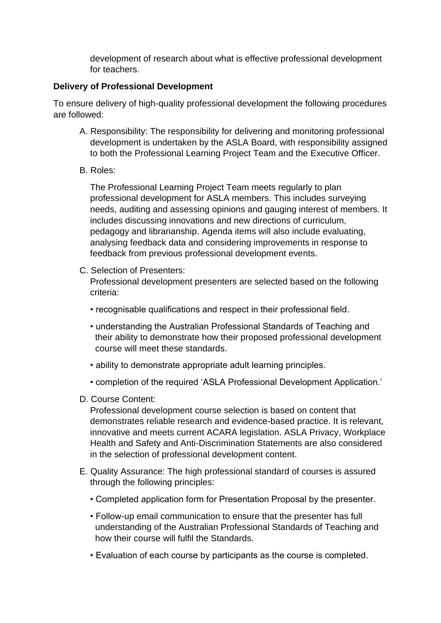development of research about what is effective professional development for teachers.

## **Delivery of Professional Development**

To ensure delivery of high-quality professional development the following procedures are followed:

- A. Responsibility: The responsibility for delivering and monitoring professional development is undertaken by the ASLA Board, with responsibility assigned to both the Professional Learning Project Team and the Executive Officer.
- B. Roles:

The Professional Learning Project Team meets regularly to plan professional development for ASLA members. This includes surveying needs, auditing and assessing opinions and gauging interest of members. It includes discussing innovations and new directions of curriculum, pedagogy and librarianship. Agenda items will also include evaluating, analysing feedback data and considering improvements in response to feedback from previous professional development events.

- C. Selection of Presenters: Professional development presenters are selected based on the following criteria:
	- recognisable qualifications and respect in their professional field.
	- understanding the Australian Professional Standards of Teaching and their ability to demonstrate how their proposed professional development course will meet these standards.
	- ability to demonstrate appropriate adult learning principles.
	- completion of the required 'ASLA Professional Development Application.'
- D. Course Content:

Professional development course selection is based on content that demonstrates reliable research and evidence-based practice. It is relevant, innovative and meets current ACARA legislation. ASLA Privacy, Workplace Health and Safety and Anti-Discrimination Statements are also considered in the selection of professional development content.

- E. Quality Assurance: The high professional standard of courses is assured through the following principles:
	- Completed application form for Presentation Proposal by the presenter.
	- Follow-up email communication to ensure that the presenter has full understanding of the Australian Professional Standards of Teaching and how their course will fulfil the Standards.
	- Evaluation of each course by participants as the course is completed.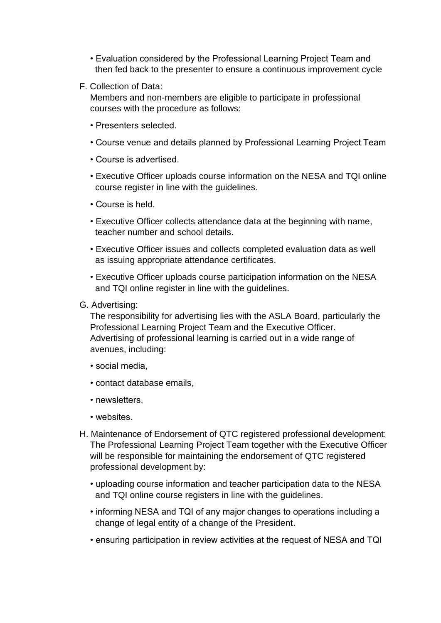- Evaluation considered by the Professional Learning Project Team and then fed back to the presenter to ensure a continuous improvement cycle
- F. Collection of Data:

Members and non-members are eligible to participate in professional courses with the procedure as follows:

- Presenters selected.
- Course venue and details planned by Professional Learning Project Team
- Course is advertised.
- Executive Officer uploads course information on the NESA and TQI online course register in line with the guidelines.
- Course is held.
- Executive Officer collects attendance data at the beginning with name, teacher number and school details.
- Executive Officer issues and collects completed evaluation data as well as issuing appropriate attendance certificates.
- Executive Officer uploads course participation information on the NESA and TQI online register in line with the guidelines.
- G. Advertising:

The responsibility for advertising lies with the ASLA Board, particularly the Professional Learning Project Team and the Executive Officer. Advertising of professional learning is carried out in a wide range of avenues, including:

- social media,
- contact database emails,
- newsletters,
- websites.
- H. Maintenance of Endorsement of QTC registered professional development: The Professional Learning Project Team together with the Executive Officer will be responsible for maintaining the endorsement of QTC registered professional development by:
	- uploading course information and teacher participation data to the NESA and TQI online course registers in line with the guidelines.
	- informing NESA and TQI of any major changes to operations including a change of legal entity of a change of the President.
	- ensuring participation in review activities at the request of NESA and TQI